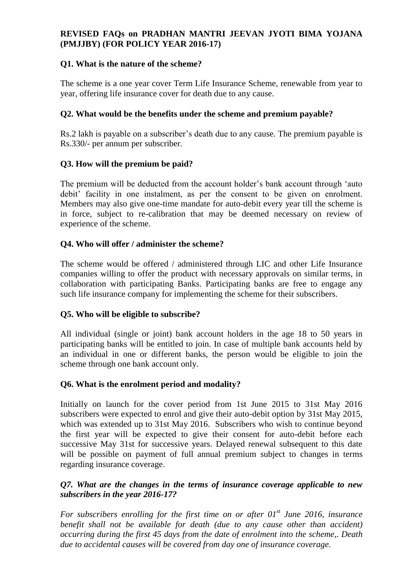## **REVISED FAQs on PRADHAN MANTRI JEEVAN JYOTI BIMA YOJANA (PMJJBY) (FOR POLICY YEAR 2016-17)**

#### **Q1. What is the nature of the scheme?**

The scheme is a one year cover Term Life Insurance Scheme, renewable from year to year, offering life insurance cover for death due to any cause.

### **Q2. What would be the benefits under the scheme and premium payable?**

Rs.2 lakh is payable on a subscriber's death due to any cause. The premium payable is Rs.330/- per annum per subscriber.

## **Q3. How will the premium be paid?**

The premium will be deducted from the account holder's bank account through 'auto debit' facility in one instalment, as per the consent to be given on enrolment. Members may also give one-time mandate for auto-debit every year till the scheme is in force, subject to re-calibration that may be deemed necessary on review of experience of the scheme.

## **Q4. Who will offer / administer the scheme?**

The scheme would be offered / administered through LIC and other Life Insurance companies willing to offer the product with necessary approvals on similar terms, in collaboration with participating Banks. Participating banks are free to engage any such life insurance company for implementing the scheme for their subscribers.

#### **Q5. Who will be eligible to subscribe?**

All individual (single or joint) bank account holders in the age 18 to 50 years in participating banks will be entitled to join. In case of multiple bank accounts held by an individual in one or different banks, the person would be eligible to join the scheme through one bank account only.

#### **Q6. What is the enrolment period and modality?**

Initially on launch for the cover period from 1st June 2015 to 31st May 2016 subscribers were expected to enrol and give their auto-debit option by 31st May 2015, which was extended up to 31st May 2016. Subscribers who wish to continue beyond the first year will be expected to give their consent for auto-debit before each successive May 31st for successive years. Delayed renewal subsequent to this date will be possible on payment of full annual premium subject to changes in terms regarding insurance coverage.

#### *Q7. What are the changes in the terms of insurance coverage applicable to new subscribers in the year 2016-17?*

*For subscribers enrolling for the first time on or after 01st June 2016, insurance benefit shall not be available for death (due to any cause other than accident) occurring during the first 45 days from the date of enrolment into the scheme,. Death due to accidental causes will be covered from day one of insurance coverage.*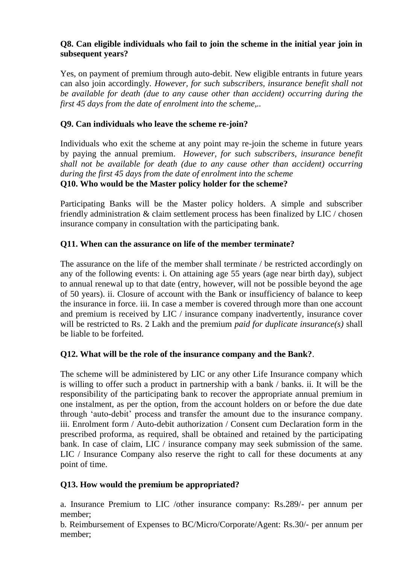# **Q8. Can eligible individuals who fail to join the scheme in the initial year join in subsequent years?**

Yes, on payment of premium through auto-debit. New eligible entrants in future years can also join accordingly*. However, for such subscribers, insurance benefit shall not be available for death (due to any cause other than accident) occurring during the first 45 days from the date of enrolment into the scheme,..*

# **Q9. Can individuals who leave the scheme re-join?**

Individuals who exit the scheme at any point may re-join the scheme in future years by paying the annual premium. *However, for such subscribers, insurance benefit shall not be available for death (due to any cause other than accident) occurring during the first 45 days from the date of enrolment into the scheme* **Q10. Who would be the Master policy holder for the scheme?**

Participating Banks will be the Master policy holders. A simple and subscriber friendly administration & claim settlement process has been finalized by LIC / chosen insurance company in consultation with the participating bank.

# **Q11. When can the assurance on life of the member terminate?**

The assurance on the life of the member shall terminate / be restricted accordingly on any of the following events: i. On attaining age 55 years (age near birth day), subject to annual renewal up to that date (entry, however, will not be possible beyond the age of 50 years). ii. Closure of account with the Bank or insufficiency of balance to keep the insurance in force. iii. In case a member is covered through more than one account and premium is received by LIC / insurance company inadvertently, insurance cover will be restricted to Rs. 2 Lakh and the premium *paid for duplicate insurance(s)* shall be liable to be forfeited.

# **Q12. What will be the role of the insurance company and the Bank?**.

The scheme will be administered by LIC or any other Life Insurance company which is willing to offer such a product in partnership with a bank / banks. ii. It will be the responsibility of the participating bank to recover the appropriate annual premium in one instalment, as per the option, from the account holders on or before the due date through 'auto-debit' process and transfer the amount due to the insurance company. iii. Enrolment form / Auto-debit authorization / Consent cum Declaration form in the prescribed proforma, as required, shall be obtained and retained by the participating bank. In case of claim, LIC / insurance company may seek submission of the same. LIC / Insurance Company also reserve the right to call for these documents at any point of time.

# **Q13. How would the premium be appropriated?**

a. Insurance Premium to LIC /other insurance company: Rs.289/- per annum per member;

b. Reimbursement of Expenses to BC/Micro/Corporate/Agent: Rs.30/- per annum per member;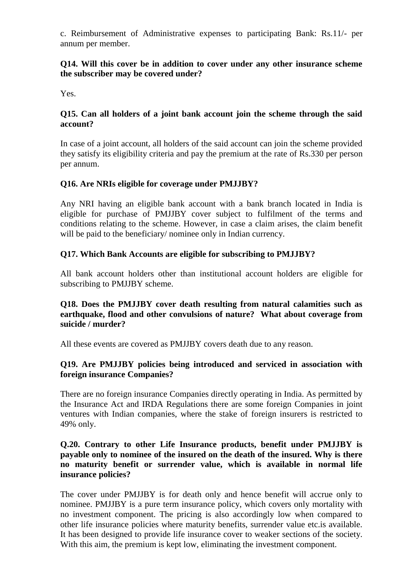c. Reimbursement of Administrative expenses to participating Bank: Rs.11/- per annum per member.

### **Q14. Will this cover be in addition to cover under any other insurance scheme the subscriber may be covered under?**

Yes.

# **Q15. Can all holders of a joint bank account join the scheme through the said account?**

In case of a joint account, all holders of the said account can join the scheme provided they satisfy its eligibility criteria and pay the premium at the rate of Rs.330 per person per annum.

# **Q16. Are NRIs eligible for coverage under PMJJBY?**

Any NRI having an eligible bank account with a bank branch located in India is eligible for purchase of PMJJBY cover subject to fulfilment of the terms and conditions relating to the scheme. However, in case a claim arises, the claim benefit will be paid to the beneficiary/ nominee only in Indian currency.

## **Q17. Which Bank Accounts are eligible for subscribing to PMJJBY?**

All bank account holders other than institutional account holders are eligible for subscribing to PMJJBY scheme.

#### **Q18. Does the PMJJBY cover death resulting from natural calamities such as earthquake, flood and other convulsions of nature? What about coverage from suicide / murder?**

All these events are covered as PMJJBY covers death due to any reason.

#### **Q19. Are PMJJBY policies being introduced and serviced in association with foreign insurance Companies?**

There are no foreign insurance Companies directly operating in India. As permitted by the Insurance Act and IRDA Regulations there are some foreign Companies in joint ventures with Indian companies, where the stake of foreign insurers is restricted to 49% only.

#### **Q.20. Contrary to other Life Insurance products, benefit under PMJJBY is payable only to nominee of the insured on the death of the insured. Why is there no maturity benefit or surrender value, which is available in normal life insurance policies?**

The cover under PMJJBY is for death only and hence benefit will accrue only to nominee. PMJJBY is a pure term insurance policy, which covers only mortality with no investment component. The pricing is also accordingly low when compared to other life insurance policies where maturity benefits, surrender value etc.is available. It has been designed to provide life insurance cover to weaker sections of the society. With this aim, the premium is kept low, eliminating the investment component.